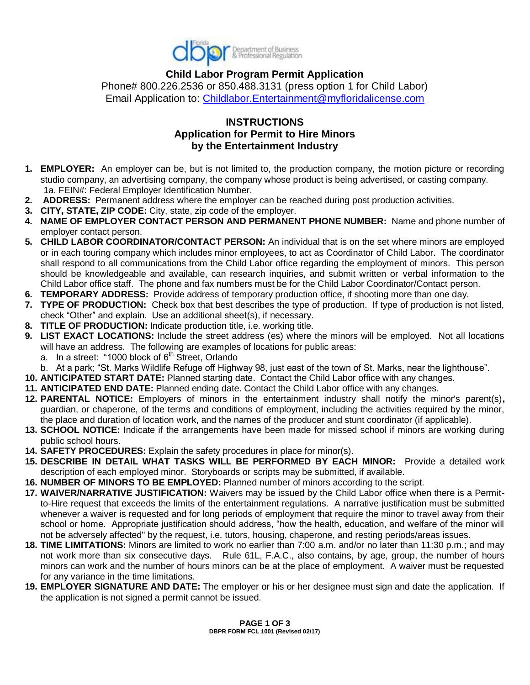

**Child Labor Program Permit Application** Phone# 800.226.2536 or 850.488.3131 (press option 1 for Child Labor) Email Application to: [Childlabor.Entertainment@myfloridalicense.com](mailto:Childlabor.Entertainment@myfloridalicense.com)

## **INSTRUCTIONS Application for Permit to Hire Minors by the Entertainment Industry**

- **1. EMPLOYER:** An employer can be, but is not limited to, the production company, the motion picture or recording studio company, an advertising company, the company whose product is being advertised, or casting company. 1a. FEIN#: Federal Employer Identification Number.
- **2. ADDRESS:** Permanent address where the employer can be reached during post production activities.
- **3. CITY, STATE, ZIP CODE:** City, state, zip code of the employer.
- **4. NAME OF EMPLOYER CONTACT PERSON AND PERMANENT PHONE NUMBER:** Name and phone number of employer contact person.
- **5. CHILD LABOR COORDINATOR/CONTACT PERSON:** An individual that is on the set where minors are employed or in each touring company which includes minor employees, to act as Coordinator of Child Labor. The coordinator shall respond to all communications from the Child Labor office regarding the employment of minors. This person should be knowledgeable and available, can research inquiries, and submit written or verbal information to the Child Labor office staff. The phone and fax numbers must be for the Child Labor Coordinator/Contact person.
- **6. TEMPORARY ADDRESS:** Provide address of temporary production office, if shooting more than one day.
- **7. TYPE OF PRODUCTION:** Check box that best describes the type of production. If type of production is not listed, check "Other" and explain. Use an additional sheet(s), if necessary.
- **8. TITLE OF PRODUCTION:** Indicate production title, i.e. working title.
- **9. LIST EXACT LOCATIONS:** Include the street address (es) where the minors will be employed. Not all locations will have an address. The following are examples of locations for public areas:
	- a. In a street: "1000 block of  $6<sup>th</sup>$  Street, Orlando
- b. At a park; "St. Marks Wildlife Refuge off Highway 98, just east of the town of St. Marks, near the lighthouse".
- **10. ANTICIPATED START DATE:** Planned starting date. Contact the Child Labor office with any changes.
- **11. ANTICIPATED END DATE:** Planned ending date. Contact the Child Labor office with any changes.
- **12. PARENTAL NOTICE:** Employers of minors in the entertainment industry shall notify the minor's parent(s)**,**  guardian, or chaperone, of the terms and conditions of employment, including the activities required by the minor, the place and duration of location work, and the names of the producer and stunt coordinator (if applicable).
- **13. SCHOOL NOTICE:** Indicate if the arrangements have been made for missed school if minors are working during public school hours.
- **14. SAFETY PROCEDURES:** Explain the safety procedures in place for minor(s).
- **15. DESCRIBE IN DETAIL WHAT TASKS WILL BE PERFORMED BY EACH MINOR:** Provide a detailed work description of each employed minor. Storyboards or scripts may be submitted, if available.
- **16. NUMBER OF MINORS TO BE EMPLOYED:** Planned number of minors according to the script.
- **17. WAIVER/NARRATIVE JUSTIFICATION:** Waivers may be issued by the Child Labor office when there is a Permitto-Hire request that exceeds the limits of the entertainment regulations. A narrative justification must be submitted whenever a waiver is requested and for long periods of employment that require the minor to travel away from their school or home. Appropriate justification should address, "how the health, education, and welfare of the minor will not be adversely affected" by the request, i.e. tutors, housing, chaperone, and resting periods/areas issues.
- **18. TIME LIMITATIONS:** Minors are limited to work no earlier than 7:00 a.m. and/or no later than 11:30 p.m.; and may not work more than six consecutive days. Rule 61L, F.A.C., also contains, by age, group, the number of hours minors can work and the number of hours minors can be at the place of employment. A waiver must be requested for any variance in the time limitations.
- **19. EMPLOYER SIGNATURE AND DATE:** The employer or his or her designee must sign and date the application. If the application is not signed a permit cannot be issued.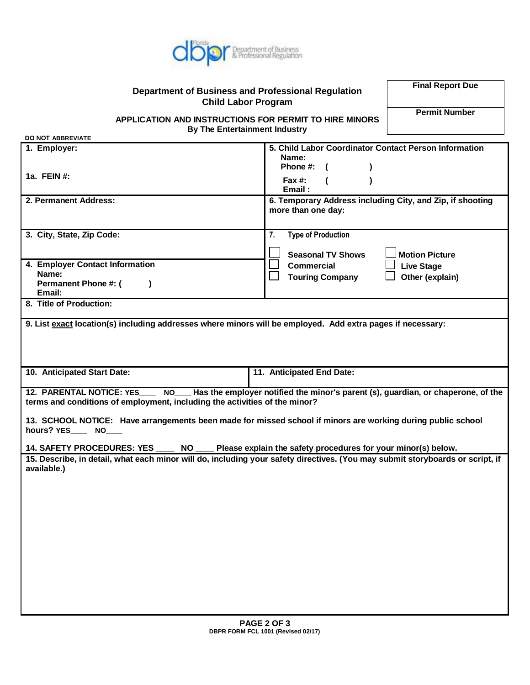

## **Department of Business and Professional Regulation Child Labor Program**

**Final Report Due**

**Permit Number**

**APPLICATION AND INSTRUCTIONS FOR PERMIT TO HIRE MINORS By The Entertainment Industry**

| <b>DO NOT ABBREVIATE</b>                                                                                                                                                                         |                                                                                      |
|--------------------------------------------------------------------------------------------------------------------------------------------------------------------------------------------------|--------------------------------------------------------------------------------------|
| 1. Employer:                                                                                                                                                                                     | 5. Child Labor Coordinator Contact Person Information<br>Name:                       |
| 1a. FEIN #:                                                                                                                                                                                      | Phone #:<br>$\lambda$<br>Fax #:<br>Email:                                            |
| 2. Permanent Address:                                                                                                                                                                            | 6. Temporary Address including City, and Zip, if shooting<br>more than one day:      |
| 3. City, State, Zip Code:                                                                                                                                                                        | 7.<br><b>Type of Production</b><br><b>Seasonal TV Shows</b><br><b>Motion Picture</b> |
| 4. Employer Contact Information<br>Name:<br>Permanent Phone #: (<br>Email:                                                                                                                       | <b>Commercial</b><br><b>Live Stage</b><br><b>Touring Company</b><br>Other (explain)  |
| 8. Title of Production:                                                                                                                                                                          |                                                                                      |
| 9. List exact location(s) including addresses where minors will be employed. Add extra pages if necessary:                                                                                       |                                                                                      |
| 10. Anticipated Start Date:                                                                                                                                                                      | 11. Anticipated End Date:                                                            |
| 12. PARENTAL NOTICE: YES<br>Has the employer notified the minor's parent (s), guardian, or chaperone, of the<br>NO<br>terms and conditions of employment, including the activities of the minor? |                                                                                      |
| 13. SCHOOL NOTICE: Have arrangements been made for missed school if minors are working during public school<br>hours? YES________ NO_____                                                        |                                                                                      |
| <b>NO</b><br><b>14. SAFETY PROCEDURES: YES</b><br>Please explain the safety procedures for your minor(s) below.                                                                                  |                                                                                      |
| 15. Describe, in detail, what each minor will do, including your safety directives. (You may submit storyboards or script, if<br>available.)                                                     |                                                                                      |
|                                                                                                                                                                                                  |                                                                                      |
|                                                                                                                                                                                                  |                                                                                      |
|                                                                                                                                                                                                  |                                                                                      |
|                                                                                                                                                                                                  |                                                                                      |
|                                                                                                                                                                                                  |                                                                                      |